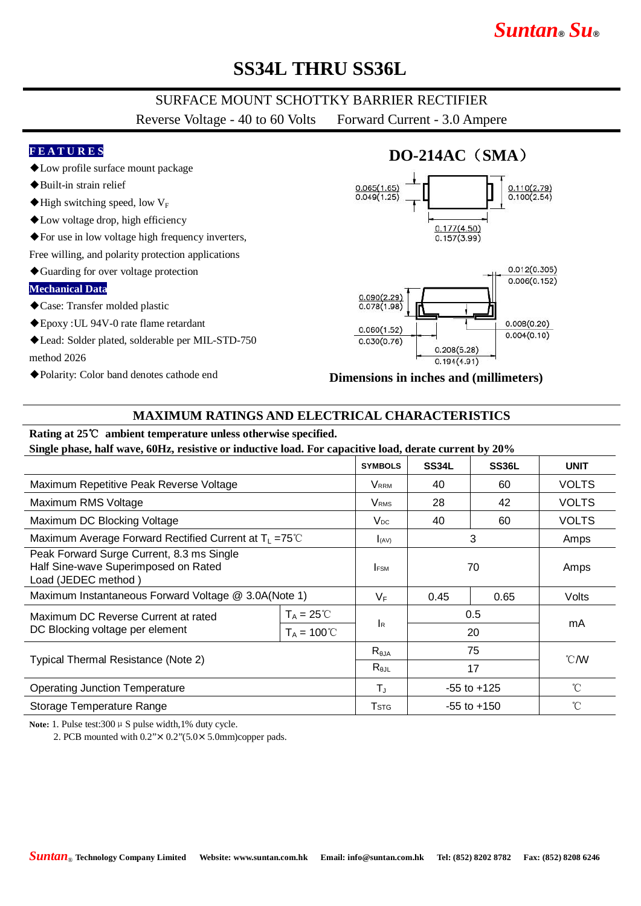# *Suntan***®** *Su***®**

## **SS34L THRU SS36L**

### SURFACE MOUNT SCHOTTKY BARRIER RECTIFIER

Reverse Voltage - 40 to 60 Volts Forward Current - 3.0 Ampere

#### **F E A T U R E S**

- ◆Low profile surface mount package
- ◆Built-in strain relief
- $\blacklozenge$  High switching speed, low  $V_F$
- ◆Low voltage drop, high efficiency
- ◆For use in low voltage high frequency inverters,

Free willing, and polarity protection applications

◆Guarding for over voltage protection

#### **Mechanical Data**

- ◆Case: Transfer molded plastic
- ◆Epoxy :UL 94V-0 rate flame retardant
- ◆Lead: Solder plated, solderable per MIL-STD-750 method 2026
- ◆Polarity: Color band denotes cathode end

# **DO-214AC**(**SMA**)





#### **Dimensions in inches and (millimeters)**

### **MAXIMUM RATINGS AND ELECTRICAL CHARACTERISTICS**

### **Rating at 25**℃ **ambient temperature unless otherwise specified.**

**Single phase, half wave, 60Hz, resistive or inductive load. For capacitive load, derate current by 20%**

|                                                                                                          |                                             | <b>SYMBOLS</b>                    | <b>SS34L</b>    | SS36L | <b>UNIT</b>    |
|----------------------------------------------------------------------------------------------------------|---------------------------------------------|-----------------------------------|-----------------|-------|----------------|
| Maximum Repetitive Peak Reverse Voltage                                                                  |                                             | <b>V</b> <sub>RRM</sub>           | 40              | 60    | <b>VOLTS</b>   |
| Maximum RMS Voltage                                                                                      |                                             | <b>V</b> <sub>RMS</sub>           | 28              | 42    | <b>VOLTS</b>   |
| Maximum DC Blocking Voltage                                                                              |                                             | $V_{DC}$                          | 40              | 60    | <b>VOLTS</b>   |
| Maximum Average Forward Rectified Current at $T_L = 75^{\circ}C$                                         |                                             | I(AV)                             | 3               |       | Amps           |
| Peak Forward Surge Current, 8.3 ms Single<br>Half Sine-wave Superimposed on Rated<br>Load (JEDEC method) |                                             | <b>IFSM</b>                       | 70              |       | Amps           |
| Maximum Instantaneous Forward Voltage @ 3.0A(Note 1)                                                     |                                             | $V_F$                             | 0.45            | 0.65  | Volts          |
| Maximum DC Reverse Current at rated<br>DC Blocking voltage per element                                   | $T_A = 25^{\circ}C$<br>$T_A = 100^{\circ}C$ | $\mathsf{R}$                      | 0.5<br>20       |       | mA             |
| Typical Thermal Resistance (Note 2)                                                                      |                                             | $R_{\theta$ JA<br>$R_{\theta JL}$ | 75<br>17        |       | $^{\circ}$ CMV |
| <b>Operating Junction Temperature</b>                                                                    |                                             | $T_{J}$                           | $-55$ to $+125$ |       | $^{\circ}$ C   |
| Storage Temperature Range                                                                                |                                             | <b>T</b> stg                      | $-55$ to $+150$ |       | °C             |

Note: 1. Pulse test:  $300 \mu S$  pulse width, 1% duty cycle.

2. PCB mounted with  $0.2$ " $\times$  0.2" $(5.0 \times 5.0$ mm)copper pads.